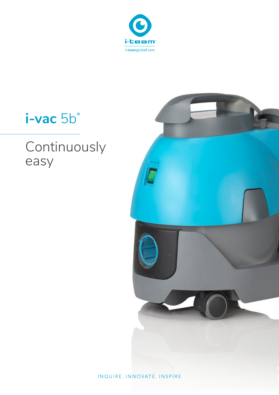

# i-vac 5b

# Continuously easy



INQUIRE. INNOVATE. INSPIRE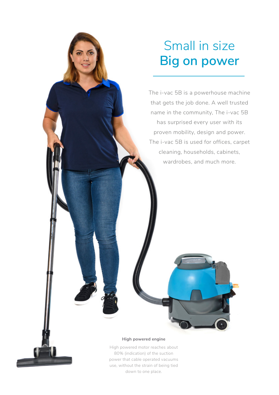## Small in size **Big on power**

The i-vac 5B is a powerhouse machine that gets the job done. A well trusted name in the community, The i-vac 5B has surprised every user with its proven mobility, design and power. The i-vac 5B is used for offices, carpet cleaning, households, cabinets, wardrobes, and much more.

#### **High powered engine**

a ka wakazi wa Tanzani ya Katolini ya Katolini ya Tanzani ya Tanzani ya Tanzani ya Tanzani ya Tanzani ya Tanza

High powered motor reaches about 80% (indication) of the suction power that cable operated vacuums use, without the strain of being tied down to one place.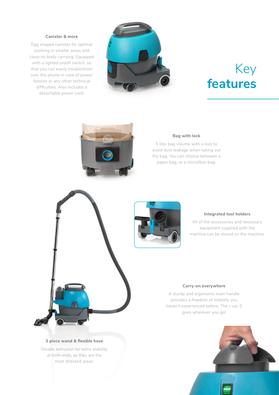#### **Canister & more**

Egg shaped canister for optimal working in smaller areas and close-to-body carrying. Equipped with a lighted on/off switch, so that you can easily troubleshoot over the phone in case of power failures or any other technical difficulties. Also includes a detachable power cord.



## Key **features**



#### **Bag with lock**

5 liter bag volume with a lock to avoid dust leakage when taking out the bag. You can choose between a paper bag, or a microfiber bag.



#### **Integrated tool holders**

All of the accessories and necessary equipment supplied with the machine can be stored on the machine.

#### **Carry-on everywhere**

A sturdy and ergonomic main handle provides a freedom of mobility you haven't experienced before. The i-vac 5 goes wherever you go!



#### **3 piece wand & flexible hose**

Double extrusion for extra stability at both ends, as they are the most stressed areas.